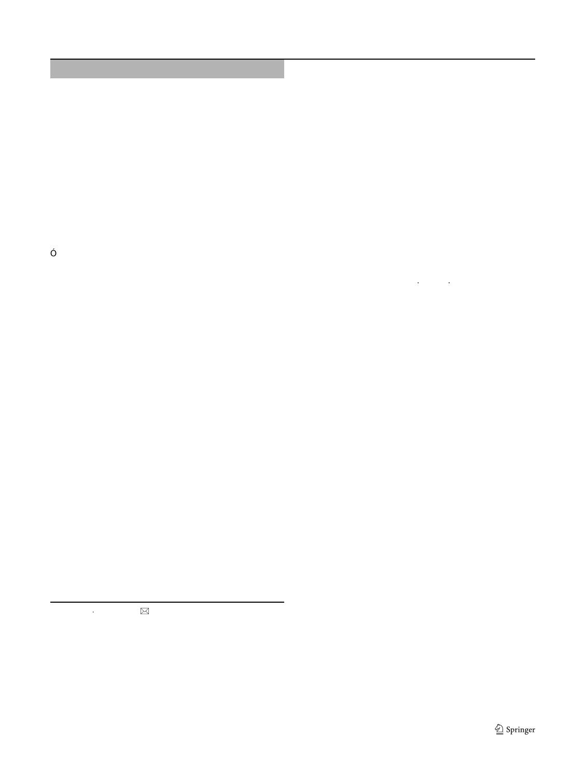RESEARCH ARTICLE

## Muscle cocontraction following dynamics learning

Mohammad Darainy ÆDavid J. Ostry

Received: 17 March 2008 / Accepted: 2 June 2008 / Published online: 27 June 2008 Springer-Verlag 2008

Abstract Coactivation of antagonist muscles is readily Keywords Motor learning EMG Impedance control observed early in motor learning, in interactions with

unstable mechanical environments and in motor system

pathologies. Here we present evidence that the nervoustroduction

system uses coactivation control far more extensively and

that patterns of cocontraction during movement are closelMuscles in the human motor system have the unique tied to the speciÞc requirements of the task. We haveharacteristic, that as force generating devices, they examined the changes in cocontraction that followactively work only in a single direction. Hence, for each dynamics learning in tasks that are thought to involve single mechanical degree-of-freedom, at least two antago-Þnely sculpted feedforward adjustments to motor comnistic muscles are necessary to control motion. The ways in mands. We Þnd that, even following substantial training,which these antagonistic muscles are recruited in different cocontraction varies in a systematic way that depends otasks is a fundamental problem in understanding human both movement direction and the strength of the externalmotor control. Two distinct control mechanisms have been load. The proportion of total activity that is due to co-identiÞed in motor control studies. In one case, the nervous contraction nevertheless remains remarkably constantystem reciprocally activates sets of antagonist muscles Moreover, long after indices of motor learning and elec-and produces torques at a desired joint. Alternatively, tromyographic measures have reached asymptotic levelantagonistic muscles are recruited at the same time. When cocontraction still accounts for a signiÞcant proportion ofcocontraction is balanced there is no kinematic effect, but total muscle activity in all phases of movement and in allthere are resulting changes in the mechanical impedance of load conditions. These results show that even followinghe musculoskeletal system. Reciprocal control and muscle dynamics learning in predictable and stable environments; ocontraction have been studied extensively. However, the cocontraction forms a central part of the means by whichrelative contribution of each to different motor tasks is not the nervous system regulates movement. well understood nor is manner in which cocontraction

M. Darainy  $\cdot$  D. J. Ostry  $\boxtimes$ ) Department of Psychology, McGill University, 1205 Dr. PenÞeld Avenue, Montreal, QC, Canada H3A 1B1 e-mail: ostry@motion.psych.mcgill.ca

M. Darainy Shahed University, Tehran, Iran

D. J. Ostry Haskins Laboratories, New Haven, CT, USA

It has been shown that subjects use cocontraction control to offset the effects of destabilizing forces both under static conditions (Darainy et al.2004) and during reaching movements (Burdet et al. 2001; Franklin et al. 2003a). Cocontraction control has been documented in the early stages of motor learning. It was shown that the cocontraction of muscles declines as learning progresses, both when subjects learn stable dynamics (Franklin e<sup>2003b</sup>) Thoroughman and Shadmehr999 and for unstable dynamical tasks (Milner and Cloutient 993). Little is known about the characteristics of cocontraction following

varies with the speciÞc requirements of the task.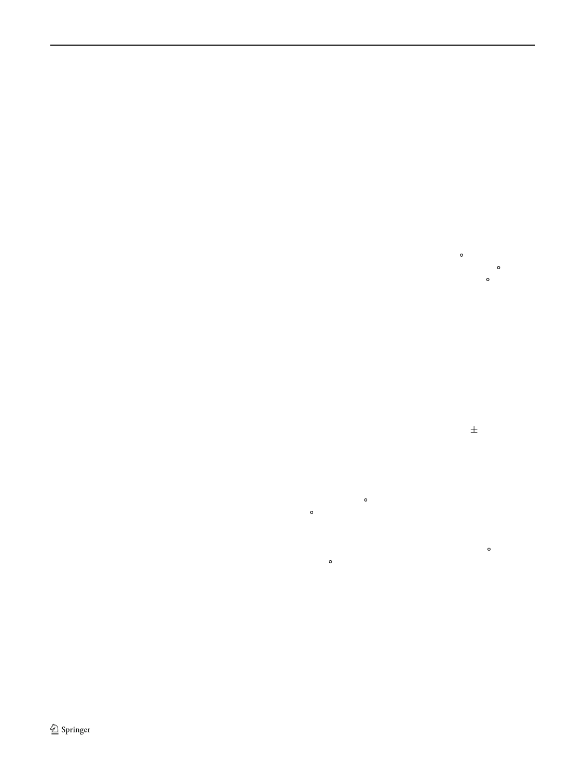motor learning in stable environments. Apart from a gen-of the motor control system and is applied broadly even eral decline in cocontraction following learning, the after learning.

manner in which cocontraction during movement is tuned

to speciÞc requirements of the task is unknown. In the

present study, we have assessed the role of musclethods

cocontraction following adaptation to stable environmental

dynamics in two situations. We have Þrst examined the ubjects and apparatus

degree to which cocontraction during movement is modu-

lated with the strength of the external force Þeld. The Ten male subjects, between 19 and 28, participated in this modulation of cocontraction with the level of external force study. All subjects were right-handed and had no history of would be consistent with the idea that cocontraction controheuromuscular disorder. Experimental procedures were is part of the way in which the nervous system compensatespproved by the McGill University Ethics Committee. for the effects of external dynamics. A second focus is Subjects were seated in front of a two degree-of-freedom whether cocontraction is differentially tuned to offset the planar robotic arm (Inmotion2, Interactive Motion Techeffects of loads associated with movements in different nologies Inc.) and held the handle in their right hand. For directions. Different muscle pairs are involved in moving each subject, the height of the seat was adjusted to produce in different directions and accordingly different patterns of an abduction angle at the shoulder of 85 he seat position muscle coactivation may be necessary to optimally supportvas also adjusted to have a shoulder angle of realtive these movements. Apart from demonstrations under static the frontal plane, and an elbow angle of 90 elative to conditions (Gribble and Ostry998 Gomi and Osul998), it is unknown whether the nervous system is capable oflecrease friction, the subjectÖs hand was supported on the modulating the balance of cocontraction over differentsurface of a glass table by an air-sled. Hand position was muscle pairs to counteract the forces involved in different measured with optical encoders at the robot joints. movement directions. the upper arm, as the start point for all movements. To

In the present study we have assessed the role dExperimental task

muscle cocontraction after extensive practice. We have

used a center-out reaching task with a clockwise velocity-The experimental session was divided into a familiarization dependent curl Þeld to gauge this effect (Shadmehr andhase and an experimental phase. The electrodes were Mussa-Ivaldi1994. Two primary directions of movement placed just prior to the experimental phase. In the familwere chosen for this study. Reaching movements in onearization phase of experiment, subjects were trained to direction required mostly elbow rotation (elbow move- make 15 cm reaching movements in 60050 ms to two ment condition) while movements in the second directionvisual targets that were positioned just below the surface of involved primarily shoulder rotation (shoulder movement the glass table. No forces were applied during this part of condition). In each direction, subjects trained with two the experiment (null condition). One visual target was levels of force-Þeld strength consecutively. We obtained placed lateral to the subject at the left of the start point. The measure of muscle cocontraction using a techniqueeaching movement to this target involved shoulder ßexion described previouslyÑthe minimum normalized muscle (on average 21) and to a lesser extent elbow extension activity for each antagonist pair of muscles (Thoroughman (6 ). We will refer to this as the shoulder movement con-and Shadmehr1999, Gribble et al. [2003](#page-10-0)). This is a dition. A second target was placed in a diagonal direction, measure of co-occurring activity that is shared by anforward and to the right of the start point. Movement to this antagonist muscle pair and provides an estimate ofarget primarily involved elbow extension (30 combined cocontraction. We observed that even following adaptawith 6 shoulder ßexion) and will be referred to as the tion and after considerable training, the cocontractionelbow movement condition.

level varied with the strength of the force-Þeld. We also Subjects were asked to move as straight as possible and observed that movement direction had a substantia udioĐvisual feedback of movement duration was provided inßuence on the pattern of cocontraction. Moreover, the at the end of each trial. In familiarization phase, two blocks cocontraction associated with these effects accounted for a 50 trials each were carried out to each of the targets. substantial and remarkably constant portion of totalSubjects had full view of the arm at all times during the muscle activation. These results show that even duringxperiment. Each trial started with a short beep and subwholly stable interactions with the environment, cocon-jects were asked to reach the target in a single movement. traction is modulated with the level of the force-Þeld and They were also told that their reaction time was not the also with the direction of movement. These bndingsfocus of the study and accordingly was not included in the suggest that coactivation control is an integral component neasured movement duration. Following movement, when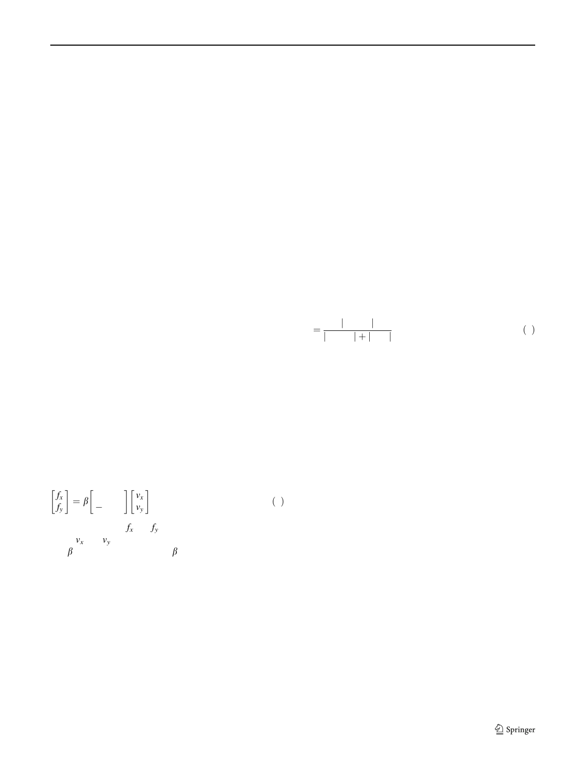the hand stopped inside a 1 cm diameter circular targetectiÞed and the root-mean-square of the signal was calzone, visual feedback of their movement duration wasculated over a sliding window of 100 ms. A measure of displayed on a monitor beside the robot. They also hear**b**aseline EMG activity was removed from all signals on a audio feedback at the same time. The robotic arm then per muscle basis. The measure was obtained by recording a moved the subjectÖs hand back to the start point and aftesingle 30-s trial at the beginning of the experimental phase, 500 ms delay the next trial began. during which the subject rested at the center of workspace

Six shoulder and elbow muscle sites were identiÞed andnd did nothing. For each trial, the EMG signals and prepared for electrode placement. The muscles of interestinematics data were time-aligned at movement start. were two single-joint shoulder muscles (pectoralis clavic-Movement onset was scored at the time that tangential ular head and posterior deltoid), two muscles acting at theand velocity exceeded 20 mm/s. Movement end was also elbow (the double-joint muscle biceps long head and singlecored when the hand tangential velocity fell below the 20 joint triceps lateral head) and two bi-articular shoulder andmm/s. Kinematic error was used to assess learning and was elbow muscles (biceps short head and triceps long head). **A**eÞned on a trial-by-trial basis, as the maximum perpenvariety of test maneuvers were carried out to determinedicular distance (PD) between the hand trajectory and a electrode placement. EMG signals were ampliÞed andtraight line that connected movement start and end. analog Þltered between 20 and 450 Hz (Delsys, Bangoli 8). We also assessed performance by computing a learning

In the experimental phase of study, subjects were ranindex (Hwang et al2003), LI, a measure that takes into domly divided into two groups of Þve subjects each. The account both force-Þeld trials and catch-trials and, hence, Þrst group was tested Þrst with movements to the lateradorrects for possible differences in performance due to target (shoulder movement condition) and then repeatedifferences in the action of the force Þeld. The LI is deÞned the same procedure with movements to the diagonal targets:

(elbow movement condition). The second group of subjects did the same task but in opposite order. Five blocks of reaching movements were carried out to each target.  $L = \frac{|PD_{\text{catch}}|}{|PD_{\text{catch}}| + |PD_{\text{ff}}|}$  (2)

Blocks 1 and 2 involved 50 trials each and were carried out there PD is the maximum perpendicular distance from a under null conditions (only Block 2 was recorded). Block 3 straight line under force Þeld conditions and BiD is the involved 150 trials under low force-Þeld conditions (see same measure for catch trials. The learning index ranges below). A fourth block (Block 4) also involved 150 trials from 0.0 early in training to an upper limit of 1.0 under under high force-Þeld conditions. A Þnal block of 50 trials conditions of complete adaptation.

was carried out under null conditions to test for afteref-Following the removal of baseline activity, measures of fects. EMG data and kinematics were recordedEMG were normalized on a muscle-by-muscle basis for simultaneously. each subject separately. The normalization serves to equate

Clock-wise velocity-dependent forces were used during MG magnitudes of antagonist muscles under static conforce-Þeld trials. Equation shows the forces that were ditions. As a normalization factor we used the mean muscle applied to the subjectÕs hand. activity from the high force condition during a 200 ms

| $\begin{bmatrix} f_x \\ f_y \end{bmatrix} = \beta \begin{bmatrix} 0 & 1 \\ -1 & 0 \end{bmatrix} \begin{bmatrix} v_x \\ v_y \end{bmatrix}$ |  |  |  |
|-------------------------------------------------------------------------------------------------------------------------------------------|--|--|--|
|-------------------------------------------------------------------------------------------------------------------------------------------|--|--|--|

window from 500 to 300 ms before movement onset (averaged over the 300 trials in both movement directions). As a control, we repeated the normalization procedure

In this equation $f_x$  and $f_y$  are the commanded force to the using the mean EMG activity in a 200 ms window starting robot, $v_x$  and $v_y$  are hand velocities in Cartesian coordinates300 ms after the end of movement. We also repeated the and  $\beta$  gives the Þeld strength. was set at 7 N s/m for the normalization procedure based on measures of maximum low force-beld condition and 17 N s/m for the high force-voluntary cocontraction that were recorded prior to the Þeld condition. In 20% of randomly chosen force-Þeld experimental measurements. In both cases, the results trials, the robot motors were turned-off and subjects werobtained were qualitatively similar to those reported above. tested under null conditions (catch trials). We have not used the more usual technique of nor-

## Data analysis

malizing EMG relative to maximum voluntary contraction (MVC). In order to obtain a normalized measure of muscle cocontraction (as opposed to individual muscle contrac-

Position signals were sampled at 200 Hz, low-passion), we needed a reference that equated for EMG levels in Butterworth Þltered at 20 Hz and numerically differenti-antagonist muscles when the arm is cocontracted in statics. ated to produce the velocity signals. EMG signals wereConventional MVC measures are obtained for each muscle sampled at 1,000 Hz and digitally band-bass Þiteredseparately and MVC values for antagonist muscle pairs are between 20 and 450 Hz. EMG signals were then full-wave unlikely to result in static equilibrium.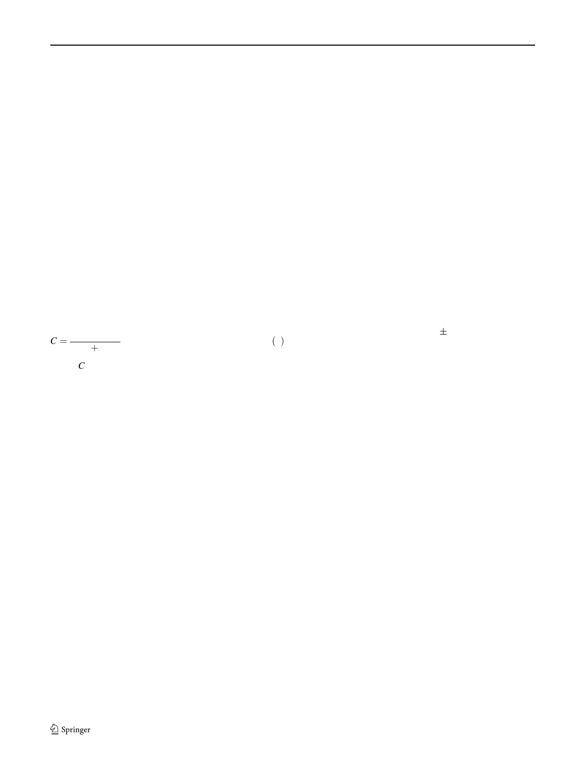We obtained a measure of cocontraction as follows. Orshoulder movement condition and elbow and biarticular each trial and for each antagonistic pair of muscles (for cocontraction in the elbow movement condition.

example, biceps long head and triceps lateral head), the We tested six additional subjects in a control study that minimum normalized muscle activity (from the two EMG involved only the shoulder movement condition, and was signals) was calculated at each point in time (Thoroughmanonducted without catch trials. Subjects Þrst completed 450 and Shadmeht 999 Gribble et al.2003. This measure of trials under null conditions followed by 450 further trials in cocontraction was calculated over the course of movementhe high force condition. EMG and movement kinematics to yield a cocontraction trajectory for all trials in the null, were recorded as described above. We veriÞed that perlow force and high force conditions. formance had reached asymptotic levels by dividing the

We also computed a measure of reciprocal activation foexperiment into bins of 25 trials each. A repeated measures each trial and each pair of antagonist muscles. The measuANOVA assessed differences in both cocontraction and of reciprocal activation was the total activity in each movement curvature over the course of the null and forcemuscle pair minus the activation in each muscle due to eld trials in the control study.

muscle cocontraction. The total activity in each muscle pair

was thus the sum of reciprocal activation plus two times

muscle cocontraction (reßecting the contribution of Results

cocontraction to the measured activity of each individual

muscle). The contribution following learning of muscle The aim of this study was to assess the role of coconcocontraction to total muscle activity was calculated astraction following adaptation to a novel dynamic follows (averaged over the Þnal 25 trials in each experienvironment. In order to quantify learning we calculated mental condition, not including catch-trials and the the maximum perpendicular deviation (PD) of the hand immediately following trial): from a straight line connecting movement start and end.

$$
C = \frac{2\text{coc}}{2\text{coc} + \text{recip}}
$$
 (3)

Figure [1](#page-4-0)a shows the mean  $PDESE$ ) for the shoulder movement condition over the course of the four blocks of the experiment (50 trials under null-Þeld, 150 trials under

where C is the proportion of total muscle activity due to low force-beld conditions, 150 trials under high forcecocontraction, coc is the contribution of each muscle to beld conditions and 50 Pnal after-effect trials). The cocontraction and recip is the total reciprocal activation asoccurrence of catch-trials shown in red was random in the deÞned above. actual experiment however for visualization purposes they

For purposes of statistical analysis, each individual co<sub>are plotted at equal intervals. It can be seen that move-</sub> contraction trajectory was divided to four parts, 250 to 50 ments are straight during null Þeld trials. When the forcems before movement onset, 50 ms before movement onspeld is unexpectedly introduced, the hand path deviates to maximum tangential hand velocity, maximum velocity from a straight line but with practice the deviation is to end of movement and a 200 ms interval immediatelyreduced. As in other studies of force-Þeld learning even at following movement end. Repeated measures ANOVA an $\Phi$ symptote some curvature remains (Lackner and Dizio Bonferroni corrected post hoc tests were used to evaluat<sub>pg94</sub> Caithness et al2004. The hand path is deviated in statistical differences. the opposite direction during catch trials and the magni-

We also classiÞed muscles according to their role intude of the after-effect increases as a function of load. movement and cocontraction measures were divided opollowing the completion of the low force condition this basis. We refer to the cocontraction activity of antag-subjects rest for 5 min and then start the high force onistic muscles that are involved in the generation of<sub>condition in which the direction of force-Þeld remains the</sub> movement as prime mover cocontraction, and the cocongame but the magnitude is increased. As in the low force traction activity of antagonistic muscles at the largely<sub>condition, the hand initially deviates from a straight line.</sub> stationary joint as stabilizer cocontraction. Previous studie Eurvature is reduced with practice, however, the effect of have demonstrated that activity in biarticular muscles is he force-beld is not fully removed and some residual closely related to movement and torque at the elbow (Gomburvature is observed that is greater in magnitude than in and Osu[1998](#page-10-0), Gribble and Ostr[y1998](#page-10-0). Therefore, we the low force condition. The Þnal block of the experiment have grouped double joint muscles with elbow muscles fornvolves 50 trials under null Þeld conditions. Here one purposes of this analysis. Thus, we grouped together as observe a considerable after-effect that gradually stabilizers, the shoulder cocontraction values in the elboweturns to null Þeld levels. Figureb shows the perpenmovement condition and the elbow and biarticular cocon-dicular deviation for the elbow movement task. The effect traction values in the shoulder movement condition. Wes qualitatively similar to that observed in the shoulder grouped as prime movers, shoulder cocontraction in the novement condition.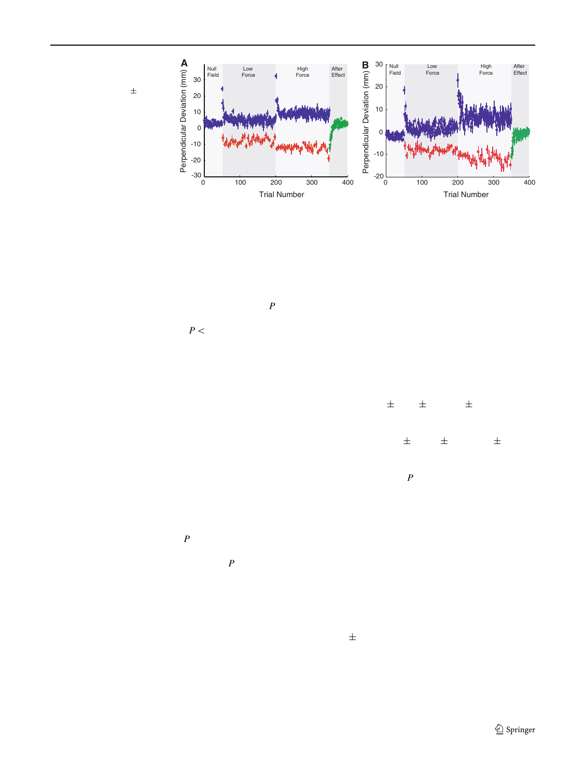deviation (PD) during the four phases of the experiment. Mean values across subjects  $E$ ) are showna Shoulder movement conditionb Elbow movement condition. PD reaches at asymptotic levels well before the end of training

<span id="page-4-0"></span>

Figure 1 shows that performance reached asymptotiq triceps lateral and long head for elbow movement and levels in all conditions. This was examined quantitatively pectoralis for shoulder movement). This phasic burst is by assessing changes in perpendicular deviation over thereceded and followed by coactivation of antagonistic course of the Þnal 50 trials of training. For this purpose, we muscles.

divided the last 50 trials of the low and high force conditions into Þve bins of ten trials each (catch trials were force Þeld learning, we removed catch trials and the folexcluded). A repeated measures ANOVA found no dif-lowing force-Þeld trial from statistical analyses. ferences in mean curvature over this set of 50 tri $\mathbb{R}$  = ( 0.30), although, as noted above curvature was reliablyow force, and high force conditions was used to calculate higher in the high force condition  $P(< 0.01)$ . This analysis the shoulder, elbow and biarticular cocontraction. To thus shows that performance had reached asymptotic levessure that there were no changes to EMG activity during long before the end of training. To analyze changes in EMG activity that accompany Normalized EMG activity for the Þnal 25 trials in the null, these intervals as a result of variation in movement kine-

The larger perpendicular deviation that is observed irmatics, we examined the maximum tangential hand high force-Þeld trials at the end of the learning phase isvelocity during these trials in the three conditions that we accompanied by larger perpendicular deviation in catchmeasured. In the shoulder movement condition, maximum trials in this condition. Thus, while limb deßections due to hand velocity was 4 $\pm$  2, 40 $\pm$  2 and 41 $\pm$  3 cm/s for null, the presence of the force-Þeld are greater, the amount dow and high force conditions, respectively. In the elbow learning as assessed by the magnitude of the catch triat ovement condition, maximum hand velocity for the same curvature is greater as well. To assess possible differences conditions was 43 2, 45  $\pm$  5 and 47 $\pm$  3 cm/s, in the amount of motor learning with force-Þeld strength respectively. A two-way repeated measures ANOVA we calculated a learning index, LI, for both the low force showed no reliable differences in hand velocity for the and the high force conditions (Hwang et  $2003$ ). The different force conditions $N = 0.06$ ). Therefore, changes in computation was carried out on a per subject basis usin**g**MG pattern are not present as a byproduct of velocity PD measures for Þnal 10% of trials in each condition.change.

Differences in the LI were tested using a two-way repe-Muscle cocontraction was calculated over the course of ated-measures ANOVA. We found that the LI was similar movement as the minimum normalized muscle activity for in low and high force conditions  $(0.19)$ , averaging 0.65 each antagonistic muscle pair and averaged over the Þnal and 0.61 for the shoulder movement condition and 0.71 and 25 trials in each condition, that is, at asymptotic perfor-0.66 for the elbow movement condition  $P$  (= 0.24 for shoulder vs. elbow movement). This suggests that in eacbocontraction trajectory was divided into four parts, 250Đ movement direction subjects learned approximately th $60$  ms before the onset of movement, 50 ms before same percentage of the force-Þeld regardless of its actualovement to maximum tangential velocity, maximum magnitude. mance levels following learning. Each resulting tangential velocity to movement end and the 200 ms

Figure [2](#page-5-0) shows performance under null Þeld conditionsinterval following the end of movement. Figufeshows for a representative subject. Mean shoulder and elbowhe mean  $\pm$ SE) normalized cocontraction of shoulder, rotation are shown along with the EMG activity of six elbow and biarticular muscles in each of these four intershoulder and elbow muscles. The data are time aligned toals, respectively. Cocontraction for the shoulder movement start and the highlighted area shows the periom ovement condition is shown in green while dark blue of movement. There is a clear burst of phasic musclerepresents cocontraction for the elbow movement activity in agonist muscles before the onset of movementondition.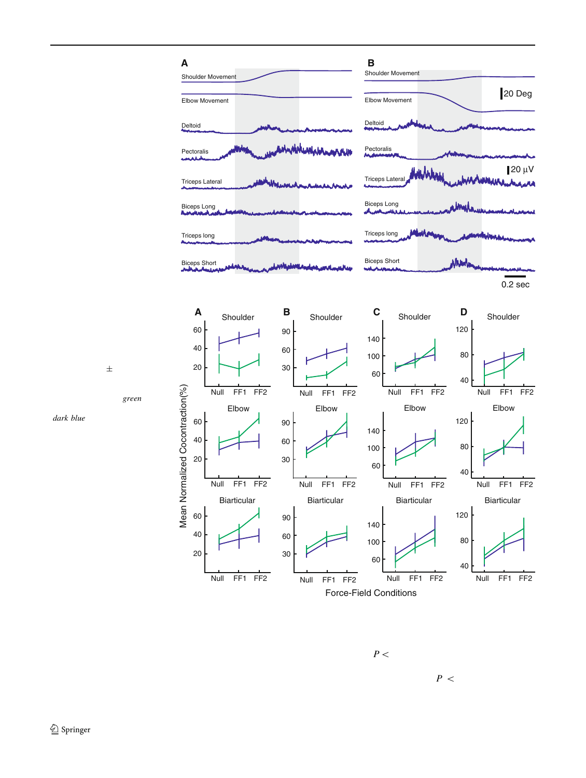rotation and mean EMG activity of six shoulder and elbow muscles for a representative subject.a Shoulder movement condition.b Elbow movement condition

<span id="page-5-0"></span>

interactions with the environment, cocontraction is modulated with the level of the force-Þeld and also with the direction of movement. Mean across subjects (SE) of shoulder, elbow, and biarticular cocontraction for shoulder movement direction *dreen*) and elbow movement direction (dark blue). Note that for visualization purposes different scales have been usedFrom 250 to 50 ms before movement. b A measure of 50 ms before movement to maximum velocity. c Maximum velocity to movement endd A measure of 200 ms following movement end

A four-way repeated measure ANOVA followed by generating limb displacement as prime movers. The anal-Bonferroni corrected post hoc tests was used to comparesis showed that cocontraction increased with magnitude the mean changes in muscle cocontraction. For this paref the force-Þeld $R < 0.001$ ). Cocontraction magnitudes at ticular analysis we divided muscles based on their role ireach force level were found to be reliably different from the movement. We will refer to muscles at the largelyone another by post hoc test $\mathcal{B} \in 0.02$  in all cases). stationary joint as stabilizers and muscles involved in Cocontraction magnitudes also varied over the course of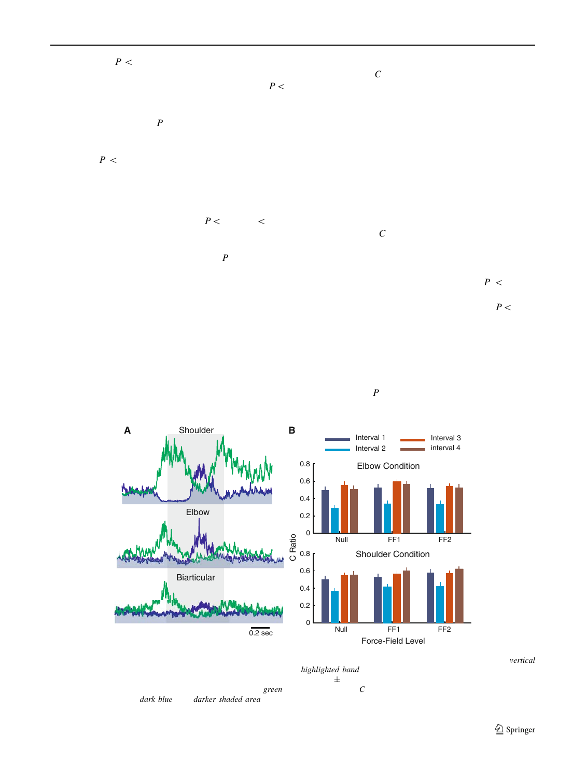<span id="page-6-0"></span>the movement  $\mathbb{P} < 0.001$ . Cocontraction was lowest in the intervals preceding peak velocity and increased reliablyo cocontraction, C, for each of the four time intervals to a maximum in the deceleration phase of movement ( Shown in Fig[.3.](#page-5-0) Figure4b shows this ratio in each of the 0.05 in both movement directions). The cocontraction levefour movement phases and the three force-Þeld conditions at the end of movement was not reliably different from that (averaged over muscle pairs). Overall it can be seen that in the deceleration phase  $\neq$  0.08). We quantibed the proportion of total muscle activity due cocontraction accounted for approximately half of the

The relative magnitude of cocontraction in stabilization measured muscle activity, except in the acceleration phase versus movement related muscles also varied duringf movement where the contribution is less. It can also movement  $P < 0.01$ ). In the period prior to movement been seen the proportion of activity due to cocontraction is (Fig. [3](#page-5-0)a) and in the interval from movement start to peak relatively constant in the different force conditions tested velocity (Fig. [3b](#page-5-0)), post hoc comparisons showed that here and in different movement directions. Thus while both cocontraction magnitudes were reliably greater for musclephasic muscle activity and cocontraction increase with involved in joint stabilization than for muscles involved level of the force-Þeld the overall proportion is for the most primarily in generating the movement  $\angle 0.01$  and  $\angle 0.05$ , part unchanged.

respectively). In the two subsequent intervals, from peak Differences in  $C$  were assessed using a three-way velocity onward, cocontraction levels were similar for repeated measures ANOVA followed by Bonferroni corstabilization muscles and prime mover  $\ell \neq 0.24, 0.07$ respectively). rected post hoc tests. We found a signiÞcant change in the proportion of muscle activation due to cocontraction over

Muscle cocontraction accounted for a substantial portionthe four time intervals of the movemen $P\,(<\,0.001).$ of total activity in each muscle pair even following learn-Cocontraction during the acceleration phase of movement ing. Figure4a shows a representative example of musclewas reliably less than in the three other intervals (0.001 activity in the shoulder movement condition (null Þeld). in each case). Overall, cocontraction was found to account The records display an interval from 500 ms before for 53, 36, 57 and 56% of the total activity in these intermovement start to 500 ms after movement end. Thevals, respectively. The lowest value, in the acceleration activity for each muscle pair is shown separately. Flexophase of the movement, is due to the large phasic muscle muscles are shown in green, extensors are in blue and the tivation associated with initiation of limb movement. We common portion due to cocontraction is the light bluefound that the proportion of cocontraction did not differ shaded region. with force level  $P = 0.06$ ). However there were reliable



Fig. 4 Cocontraction accounts for a substantial proportion of totalthe deÞned cocontraction activity for each muscle pair. The cal muscle activity a Representative example of muscle activity in the *highlighted band* indicates the period of movement. Mean across shoulder movement condition for an individual subject (averagedsubjects  $\pm$ SE) of the relative contribution of cocontraction to total over 20 null Þeld trials). Agonist muscles are shown gineen, antagonist muscles are *iturk blue*. The *darker shaded area* shows muscle activity  $C$  ratio), averaged over muscles. The Þgure shows the four movement intervals at each of the three force-Þeld levels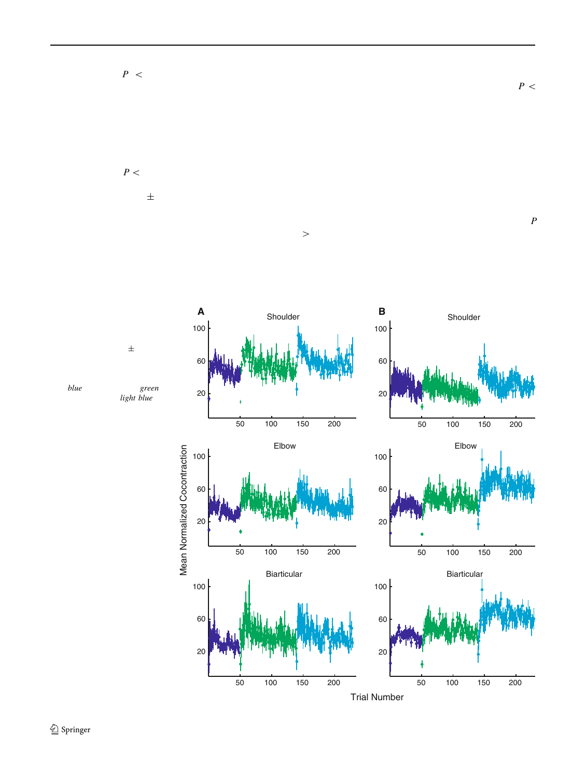<span id="page-7-0"></span>differences in the proportion of cocontraction with move-ANOVA revealed a reliable difference between the mean ment direction  $P \, < \, 0.01$ ). A greater proportion of cocontraction activity of the Þrst 10% of trials (the very cocontraction overall was observed in the elbow movement rst trial was excluded) and the last 10% of trials  $\zeta$ condition but the differences were small (52.5 vs. 48.5%)0.05) in each condition. However, there is still substantial There were two other statistically reliable differences. cocontraction even in the plateau phase of learning. Cocontraction during the acceleration phase of movement We veriÞed that EMG activity was at asymptotic levels accounted for less of the total in the shoulder conditionby assessing changes in the cocontraction level over the (32.5 vs. 40.5%). Similarly the proportion of cocontraction last 50 trials of force-Þeld learning. As in our earlier at the end of movement was less in the shoulder conditionassessment of movement curvature, we divided cocon- $(53.7 \text{ vs. } 59.3\%) R < 0.02$  in each case). traction measures over the last 50 force-Þeld trials in each

Figure 5 shows changes in cocontraction over the cours of the high and low force conditions into Þve bins of ten of learning. The mean (SE) cocontraction level is given trials each (catch trials and the following force-Þeld trial during the interval from 250 to 50 ms before the onset ofare excluded). Over the course of these trials we found no movement (the other parts of the cocontraction trajectorystatistically reliable differences in cocontraction activity ( show a similar pattern). Null Þeld trials are shown in dark > 0.4, repeated measures ANOVA). Cocontraction had blue, cocontraction in the low force condition is shown in thus reached asymptotic levels long before the end of green (with catch trials and the Þrst trial following the training. In summary, the present study Þnds persistent cocatch trial removed) and cocontraction in the high force contraction throughout all phases before and after learning condition is shown in light blue. A repeated measuresa novel task.

with learning but there is persistent cocontraction even at asymptotic performance levels. Mean across subjects (SE) of shoulder, elbow, and biarticular muscle cocontraction from 250 to 50 ms before movement. Null is in *blue*, low force is ingreen and high force is inlight blue (catch trials and the Þrst force-Þeld trial afterwards are removed).a Shoulder condition. b Elbow condition

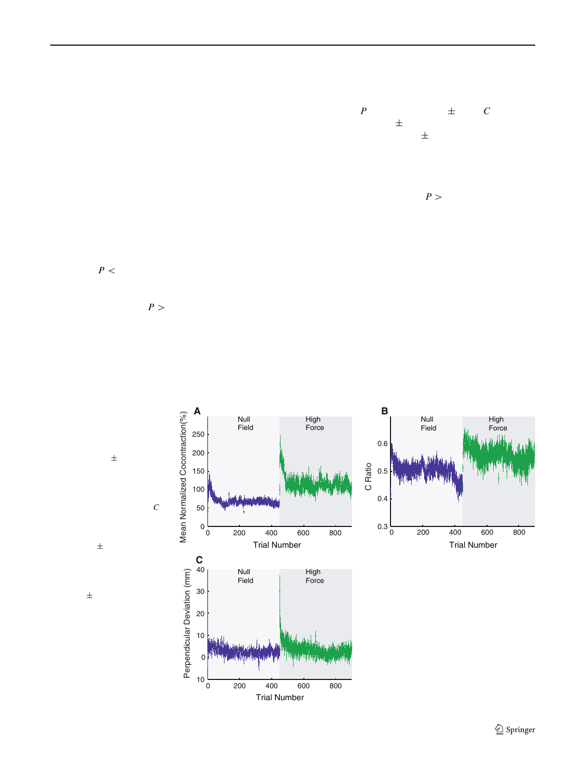We conducted a control study with six new subjects totrails, cocontraction accounts for the same proportion of rule out the possibility that either insufÞcient learning ortotal muscle activity (in range of 50%). There were no the presence of catch-trials were the source of the persisterdliable differences over the Þnal 25 trials in the null and cocontraction. The new subjects were tested over theorce-beld conditions in the proportion of activity due to course of 450 null movements and 450 high force condition cocontraction  $P = 0.09$ ). The mean (SE) of C ratio in the movements, without any catch-trials. Figute shows null condition was 0.45± 0.03 while the same value for the normalized cocontraction, over the interval 250 ms beforeforce-Þeld condition was 0.55 0.05. Figure6c shows that movement start to 200 ms after movement end, averagelearning as assessed by maximum perpendicular deviation over muscle pairs and subjects. Cocontraction is seen to beaches null Þeld levels within about 100 trials. A repeated at asymptotic levels at the end of each phase of the measures ANOVA, divided as above into bins of 25 trials, experiment and greater in magnitude in the high forceindicated no differences in movement curvature over the condition. We examined this quantitatively by dividing the Þnal 350 training movement $\mathcal{P} \succ 0.1$ ). cocontraction measures in both null and force Þeld condi-The order in which subjects performed the task requires tions into Þve bins of 25 trials each that were spaced evenlyomment. In all cases, null Þeld trials were followed by throughout the 450 trial interval. Differences were assessetow force trials and then by high force trials. Although

using a two-way repeated measures ANOVA. We foundsubjects were given 5Đ10 min rest breaks between the three that cocontraction was reliably greater under high forceconditions, the possibility remains that muscle fatigue conditions  $P < 0.001$ ). Using Bonferroni corrected pair- played a role in the observed results. We tested for muscle wise comparisons, we found no differences in fatigue quantitatively. It is known that during isometric cocontraction over the Þnal four bins, that is, following thecontraction the median of the EMG power spectrum shifts Þrst 100 training trials $R > 0.1$  in all cases). This shows toward lower frequencies. Recently timeÐfrequency analthat even after a longer period of training without catch ysis has been used to assess muscle fatigue in cyclic trials subjects consistently use cocontraction as part of theynamic contractions (Bonato et al. 001). It has been control that underlies movement. shown that as a muscle fatigues the Instantaneous median

Figure 6b shows that the proportion of total muscle frequency (IMDF) shifts toward lower values. To test for activity due to cocontraction remains high regardless of théatigue in the present study we compared the mean IMDF force-Þeld condition. Indeed, even in the absence of catcbf the last ten trials in each condition. A three-way repeated

Fig. 6 Cocontraction remains<br>high after extensive training in<br>the absence of catch-trials.<br>a Mean normalized<br>cocontraction across subjects<br>and muscle pairst(SE) over the<br>interval 250 ms before<br>movement start to 200 ms aft high after extensive training in the absence of catch-trials. a Mean normalized cocontraction across subjects and muscle pairs  $(SE)$  over the interval 250 ms before movement start to 200 ms after movement end. The level of cocontraction is greater in the high force conditionb Mean  $C$ ratio (proportion of total muscle activity due to cocontraction) averaged over subjects and muscle pairs  $\pm$ SE). In both null and high force conditions, cocontraction accounts for about 50% of total muscle activity. c Mean perpendicular deviation  $(ESE)$  over the course of training. Performance in the high force condition approaches null Þeld levels within about 100 trials

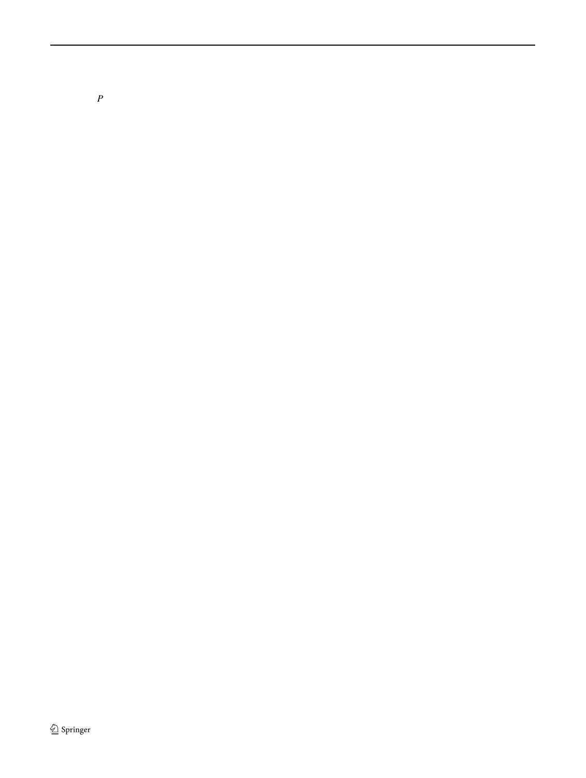measures ANOVA (two directions of movement, three cocontraction quite consistently accounted for 50Ð60% of different force-Þeld conditions, six muscles) found nototal muscle activity. The reason that cocontraction perdifferences in the mean IMDF for the three force-Þeld centages were not higher in the intervals just before and conditions  $P = 0.16$ ). Muscle fatigue can thus be ruled out just after movement is the presence of phasic muscle as a potential source of the present results. activity both prior to movement onset and persistent

## **Discussion**

activity following movement end (Suzuki et a[2001](#page-10-0)). In the present dataset, the onset of phasic activity is clearly evident by 200 ms before the start of movement and is likewise present for several hundred milliseconds after the

We have assessed characteristics of antagonistic musclead of the movement (see F[ig](#page-6-0)a). This accounts for the cocontraction over the course of dynamics learning. Subfact that the observed proportion of cocontraction in these jects were given extensive practice in producing reachingntervals (250Đ50 ms before movement start and in the 200 movements to two visual targets. Each subject was testerds following movement end) is comparable to that in a null Þeld followed by two force-Þeld conditions, a low observed during movement.

force and then a high force condition. Muscle coactivation, The directional tuning of muscle cocontraction and as assessed by the overlap of agonist and antagonist musclerresponding directional changes to hand stiffness have activity was observed in all phases of movement andoeen reported previously (Burdet et a001; Darainy et al. throughout the course of training and accounted for a [2004](#page-10-0) Franklin et al. 2003b Gomi and Osul 998 Perreault substantial proportion of total muscle activation even fol-et al. [2002](#page-10-0). However, the studies in which this directional lowing learning. Importantly, cocontraction characteristicstuning has been observed, have involved either adaptation varied with the speciÞc details of the task. In particular,to an unstable dynamic environment or biofeedback of cocontraction varied in magnitude with the strength of the muscle cocontraction that is presented to the subject. The force-Þeld and also varied with movement direction. Inpresent results (Fig3, panels a, b) show that different each direction, cocontraction changed over the course *c*otatterns of shoulder and elbow cocontraction, and hence movement such that before movement start and up to peat resumably, different underlying neural commands, are velocity, cocontraction in muscles involved primarily in involved for different movement directions even when the joint stabilization was higher than in the prime movers.interaction of the hand with the environment is stable. Following peak velocity cocontraction activity patterns in stabilizer muscles and prime movers was similar. Cocontraction magnitudes were greater at the stationary joint. This difference presumably arises as a consequence

It has been suggested that a combination of feedforwardf the biomechanics of the experimental design. The forceand impedance control are involved in adaptation to both Þeld here produces torques that act primarily about the stable and unstable dynamical environments (Franklin et abtationary joint. The observed difference in cocontraction [2003b\)](#page-10-0). A number of studies have evaluated patterns obetween the stationary and moving joint may well reßect muscle activity in the early stages of learning (Franklin the need for greater stability under these conditions. et al. [2003b](#page-10-0) Thoroughman and Shadmen 1999. These studies report an initial increase in activity for all muscles assessed in this study merits comment. The rationale for followed by a decrease in cocontraction as learning prousing overlap in EMG levels of antagonistic muscles as a gresses. The data from the present study  $(5)$ gshow a measure of cocontraction is that the activity that is comsimilar decline. The present study extends the previousnon to both muscles results in changes in impedance Þndings by showing that the cocontraction which remains without producing accompanying changes in net joint torfollowing motor learning is tuned to the requirements of que. However the measurement of cocontraction in this the task such that it varies in magnitude in a systemationanner also has certain limitations. First cocontraction as fashion both with force level and movement direction. assessed in this way may in part reßect phasic muscle Moreover, we observe that the relative contribution ofactivation. This component is of course absent when cococontraction to total muscle activity remains essentially contraction is assessed under stationary conditions. the same following learning at all force levels. This shows Nevertheless, even if the measured cocontraction in the that cocontraction control is involved in all phases of present study derives in part from phasic activation, it acts learning and that the nervous system maintains a fairlyo increase impedance and in this sense its effects are constant balance of cocontraction and reciprocal activation similar to those observed for coactivation under static The way in which muscle cocontraction has been

The relative level of cocontraction is more or less con-conditions. A second caveat is that cocontraction in the stant over different phases of movement as well. Except fopresent study is estimated over time by computing the the acceleration phase of the movement (from just beforeninimum normalized EMG activity of antagonistic muscle movement start to maximum velocity), we found that pairs. For each muscle, EMG activity is normalized relative